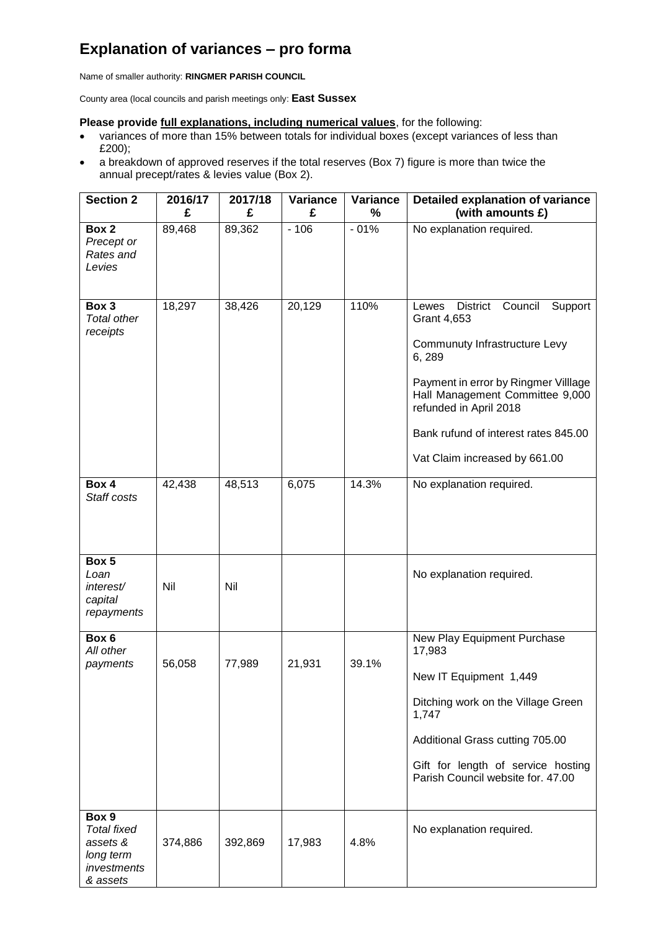## **Explanation of variances – pro forma**

Name of smaller authority: **RINGMER PARISH COUNCIL**

County area (local councils and parish meetings only: **East Sussex**

## **Please provide full explanations, including numerical values**, for the following:

- variances of more than 15% between totals for individual boxes (except variances of less than £200);
- a breakdown of approved reserves if the total reserves (Box 7) figure is more than twice the annual precept/rates & levies value (Box 2).

| <b>Section 2</b>                                                                | 2016/17 | 2017/18 | <b>Variance</b> | <b>Variance</b> | Detailed explanation of variance                                                                                                                                                                                                                                                      |
|---------------------------------------------------------------------------------|---------|---------|-----------------|-----------------|---------------------------------------------------------------------------------------------------------------------------------------------------------------------------------------------------------------------------------------------------------------------------------------|
|                                                                                 | £       | £       | £               | $\frac{0}{0}$   | (with amounts £)                                                                                                                                                                                                                                                                      |
| Box 2<br>Precept or<br>Rates and<br>Levies                                      | 89,468  | 89,362  | $-106$          | $-01%$          | No explanation required.                                                                                                                                                                                                                                                              |
| Box 3<br><b>Total other</b><br>receipts                                         | 18,297  | 38,426  | 20,129          | 110%            | <b>District</b><br>Council<br>Lewes<br>Support<br>Grant 4,653<br>Communuty Infrastructure Levy<br>6,289<br>Payment in error by Ringmer Villlage<br>Hall Management Committee 9,000<br>refunded in April 2018<br>Bank rufund of interest rates 845.00<br>Vat Claim increased by 661.00 |
| Box 4<br>Staff costs                                                            | 42,438  | 48,513  | 6,075           | 14.3%           | No explanation required.                                                                                                                                                                                                                                                              |
| Box 5<br>Loan<br>interest/<br>capital<br>repayments                             | Nil     | Nil     |                 |                 | No explanation required.                                                                                                                                                                                                                                                              |
| Box 6<br>All other<br>payments                                                  | 56,058  | 77,989  | 21,931          | 39.1%           | New Play Equipment Purchase<br>17,983<br>New IT Equipment 1,449<br>Ditching work on the Village Green<br>1,747<br>Additional Grass cutting 705.00<br>Gift for length of service hosting<br>Parish Council website for. 47.00                                                          |
| Box 9<br><b>Total fixed</b><br>assets &<br>long term<br>investments<br>& assets | 374,886 | 392,869 | 17,983          | 4.8%            | No explanation required.                                                                                                                                                                                                                                                              |